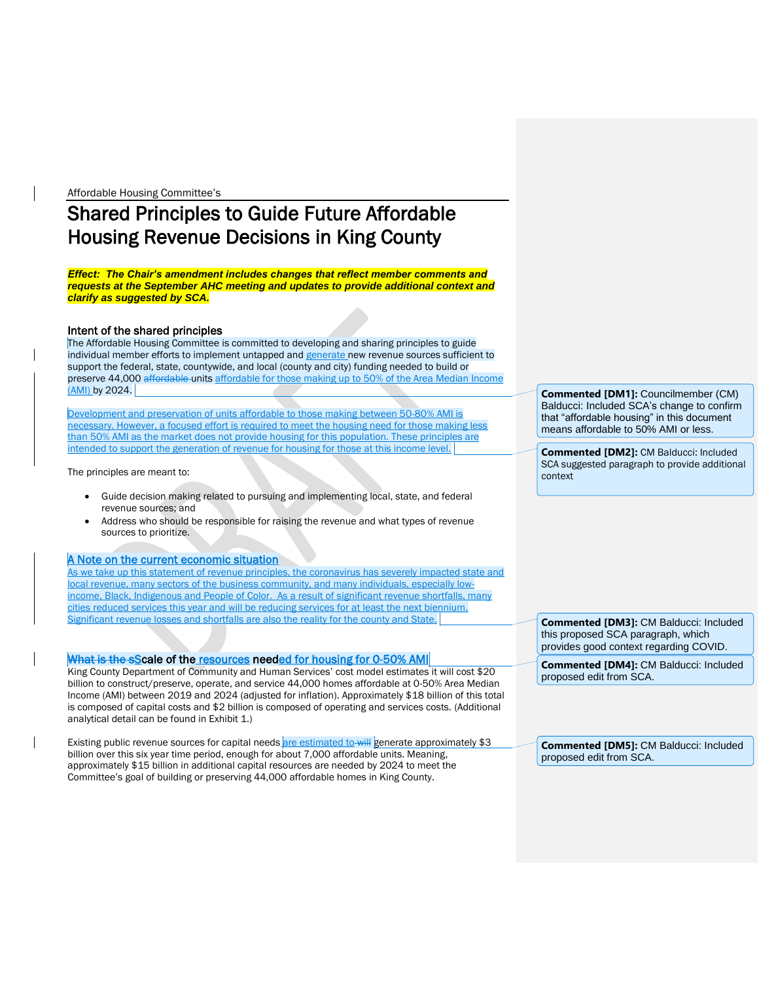Affordable Housing Committee's

# Shared Principles to Guide Future Affordable Housing Revenue Decisions in King County

*Effect: The Chair's amendment includes changes that reflect member comments and requests at the September AHC meeting and updates to provide additional context and clarify as suggested by SCA.*

#### Intent of the shared principles

The Affordable Housing Committee is committed to developing and sharing principles to guide individual member efforts to implement untapped and generate new revenue sources sufficient to support the federal, state, countywide, and local (county and city) funding needed to build or preserve 44,000 affordable-units affordable for those making up to 50% of the Area Median Income (AMI) by 2024.

Development and preservation of units affordable to those making between 50-80% AMI is necessary. However, a focused effort is required to meet the housing need for those making less than 50% AMI as the market does not provide housing for this population. These principles are intended to support the generation of revenue for housing for those at this income level.

The principles are meant to:

- Guide decision making related to pursuing and implementing local, state, and federal revenue sources; and
- Address who should be responsible for raising the revenue and what types of revenue sources to prioritize.

## A Note on the current economic situation

As we take up this statement of revenue principles, the coronavirus has severely impacted state and local revenue, many sectors of the business community, and many individuals, especially lowincome, Black, Indigenous and People of Color. As a result of significant revenue shortfalls, many cities reduced services this year and will be reducing services for at least the next biennium. Significant revenue losses and shortfalls are also the reality for the county and State.

## What is the sScale of the resources needed for housing for 0-50% AMI

King County Department of Community and Human Services' cost model estimates it will cost \$20 billion to construct/preserve, operate, and service 44,000 homes affordable at 0-50% Area Median Income (AMI) between 2019 and 2024 (adjusted for inflation). Approximately \$18 billion of this total is composed of capital costs and \$2 billion is composed of operating and services costs. (Additional analytical detail can be found in Exhibit 1.)

Existing public revenue sources for capital needs are estimated to will generate approximately \$3 billion over this six year time period, enough for about 7,000 affordable units. Meaning, approximately \$15 billion in additional capital resources are needed by 2024 to meet the Committee's goal of building or preserving 44,000 affordable homes in King County.

**Commented [DM1]:** Councilmember (CM) Balducci: Included SCA's change to confirm that "affordable housing" in this document means affordable to 50% AMI or less.

**Commented [DM2]:** CM Balducci: Included SCA suggested paragraph to provide additional context

**Commented [DM3]:** CM Balducci: Included this proposed SCA paragraph, which provides good context regarding COVID.

**Commented [DM4]:** CM Balducci: Included proposed edit from SCA.

**Commented [DM5]:** CM Balducci: Included proposed edit from SCA.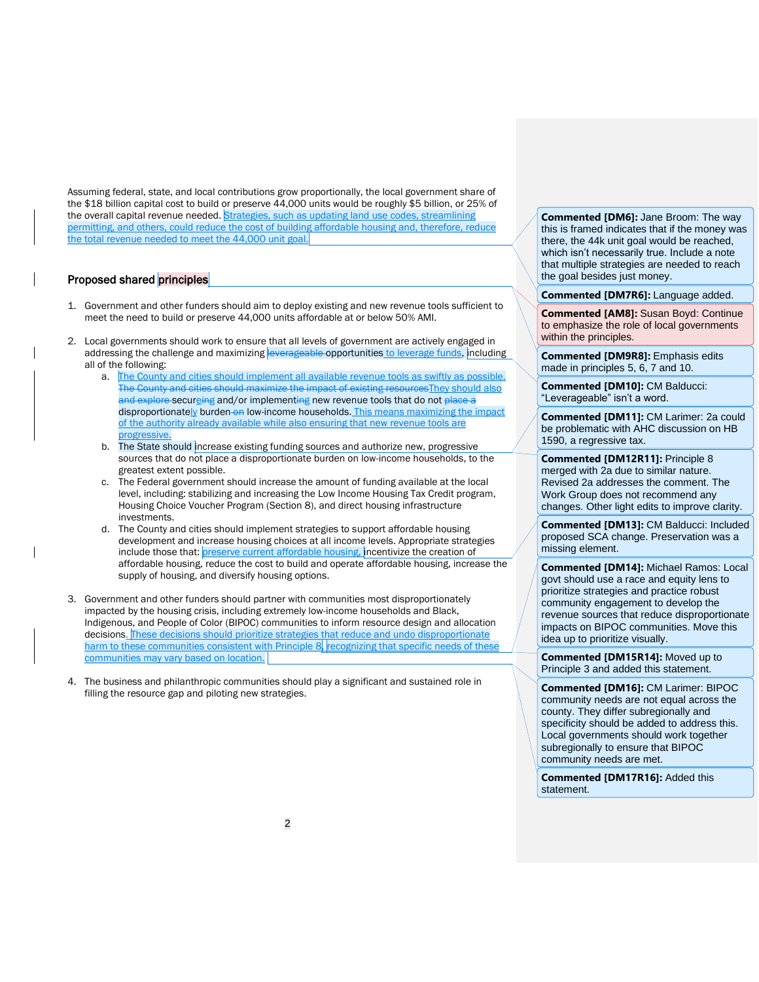Assuming federal, state, and local contributions grow proportionally, the local government share of the \$18 billion capital cost to build or preserve 44,000 units would be roughly \$5 billion, or 25% of the overall capital revenue needed. Strategies, such as updating land use codes, streamlining permitting, and others, could reduce the cost of building affordable housing and, therefore, reduce the total revenue needed to meet the 44,000 unit goal.

#### Proposed shared principles

- 1. Government and other funders should aim to deploy existing and new revenue tools sufficient to meet the need to build or preserve 44,000 units affordable at or below 50% AMI.
- 2. Local governments should work to ensure that all levels of government are actively engaged in addressing the challenge and maximizing **leverageable opportunities** to leverage funds, including all of the following:
	- a. The County and cities should implement all available revenue tools as swiftly as possible. The County and cities should maximize the impact of existing resources They should also and explore securging and/or implementing new revenue tools that do not place a disproportionately burden-on low-income households. This means maximizing the impact of the authority already available while also ensuring that new revenue tools are progressive.
	- b. The State should increase existing funding sources and authorize new, progressive sources that do not place a disproportionate burden on low-income households, to the greatest extent possible.
	- c. The Federal government should increase the amount of funding available at the local level, including: stabilizing and increasing the Low Income Housing Tax Credit program, Housing Choice Voucher Program (Section 8), and direct housing infrastructure investments.
	- d. The County and cities should implement strategies to support affordable housing development and increase housing choices at all income levels. Appropriate strategies include those that: preserve current affordable housing, incentivize the creation of affordable housing, reduce the cost to build and operate affordable housing, increase the supply of housing, and diversify housing options.
- 3. Government and other funders should partner with communities most disproportionately impacted by the housing crisis, including extremely low-income households and Black, Indigenous, and People of Color (BIPOC) communities to inform resource design and allocation decisions. These decisions should prioritize strategies that reduce and undo disproportionate harm to these communities consistent with Principle 8, recognizing that specific needs of these communities may vary based on location.
- 4. The business and philanthropic communities should play a significant and sustained role in filling the resource gap and piloting new strategies.

**Commented [DM6]:** Jane Broom: The way this is framed indicates that if the money was there, the 44k unit goal would be reached, which isn't necessarily true. Include a note that multiple strategies are needed to reach the goal besides just money.

**Commented [DM7R6]:** Language added.

**Commented [AM8]:** Susan Boyd: Continue to emphasize the role of local governments within the principles.

**Commented [DM9R8]:** Emphasis edits made in principles 5, 6, 7 and 10.

**Commented [DM10]:** CM Balducci: "Leverageable" isn't a word.

**Commented [DM11]:** CM Larimer: 2a could be problematic with AHC discussion on HB 1590, a regressive tax.

**Commented [DM12R11]:** Principle 8 merged with 2a due to similar nature. Revised 2a addresses the comment. The Work Group does not recommend any changes. Other light edits to improve clarity.

**Commented [DM13]:** CM Balducci: Included proposed SCA change. Preservation was a missing element.

**Commented [DM14]:** Michael Ramos: Local govt should use a race and equity lens to prioritize strategies and practice robust community engagement to develop the revenue sources that reduce disproportionate impacts on BIPOC communities. Move this idea up to prioritize visually.

**Commented [DM15R14]:** Moved up to Principle 3 and added this statement.

**Commented [DM16]:** CM Larimer: BIPOC community needs are not equal across the county. They differ subregionally and specificity should be added to address this. Local governments should work together subregionally to ensure that BIPOC community needs are met.

**Commented [DM17R16]:** Added this statement.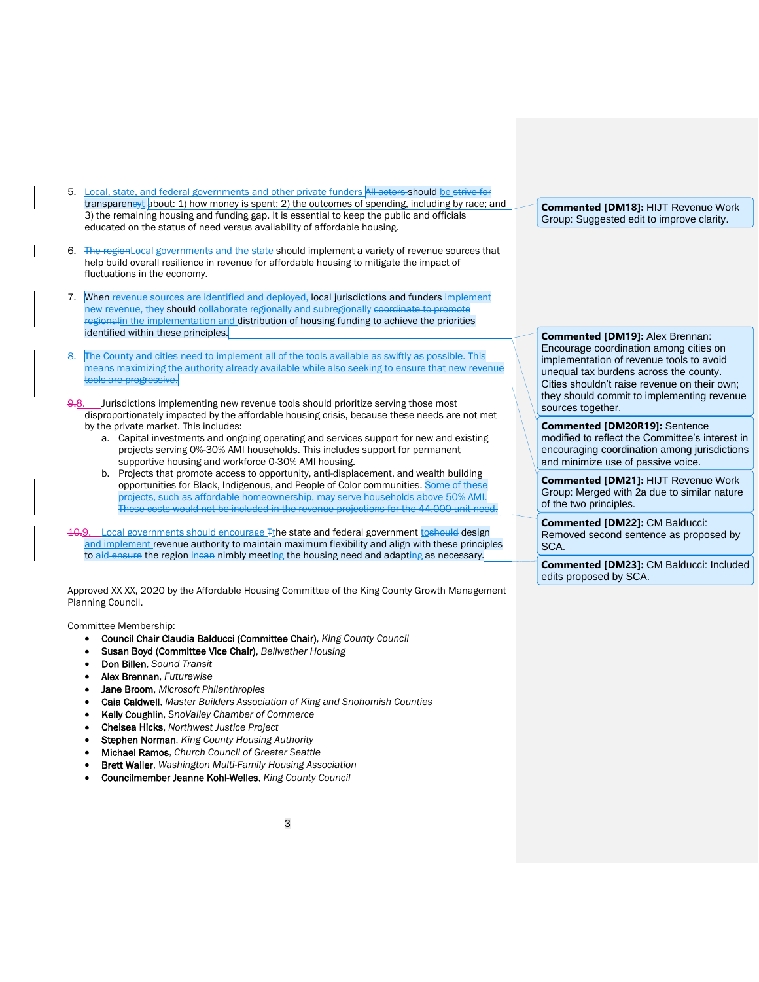- 5. Local, state, and federal governments and other private funders All actors should be strive for transpareneyt about: 1) how money is spent; 2) the outcomes of spending, including by race; and 3) the remaining housing and funding gap. It is essential to keep the public and officials educated on the status of need versus availability of affordable housing.
- 6. The regionLocal governments and the state should implement a variety of revenue sources that help build overall resilience in revenue for affordable housing to mitigate the impact of fluctuations in the economy.
- 7. When-revenue sources are identified and deployed, local jurisdictions and funders implement new revenue, they should collaborate regionally and subregionally <del>coordinate to promote</del> regionalin the implementation and distribution of housing funding to achieve the priorities identified within these principles.
- The County and cities need to implement all of the tools available as swiftly as possible. This means maximizing the authority already available while also seeking to ensure that new revenue tools are progressive.
- 9.8. Jurisdictions implementing new revenue tools should prioritize serving those most disproportionately impacted by the affordable housing crisis, because these needs are not met by the private market. This includes:
	- a. Capital investments and ongoing operating and services support for new and existing projects serving 0%-30% AMI households. This includes support for permanent supportive housing and workforce 0-30% AMI housing.
	- b. Projects that promote access to opportunity, anti-displacement, and wealth building opportunities for Black, Indigenous, and People of Color communities. Some of these projects, such as affordable homeownership, may serve households above 50% AMI. These costs would not be included in the revenue projections for the 44,000 unit need.
- 10.9. Local governments should encourage Tthe state and federal government to should design and implement revenue authority to maintain maximum flexibility and align with these principles to aid ensure the region incan nimbly meeting the housing need and adapting as necessary.

Approved XX XX, 2020 by the Affordable Housing Committee of the King County Growth Management Planning Council.

Committee Membership:

- Council Chair Claudia Balducci (Committee Chair), *King County Council*
- Susan Boyd (Committee Vice Chair), *Bellwether Housing*
- Don Billen, *Sound Transit*
- Alex Brennan, *Futurewise*
- Jane Broom, *Microsoft Philanthropies*
- Caia Caldwell, *Master Builders Association of King and Snohomish Counties*
- Kelly Coughlin, *SnoValley Chamber of Commerce*
- Chelsea Hicks, *Northwest Justice Project*
- Stephen Norman, *King County Housing Authority*
- Michael Ramos, *Church Council of Greater Seattle*
- Brett Waller, *Washington Multi-Family Housing Association*
- Councilmember Jeanne Kohl-Welles, *King County Council*

**Commented [DM18]:** HIJT Revenue Work Group: Suggested edit to improve clarity.

**Commented [DM19]:** Alex Brennan: Encourage coordination among cities on implementation of revenue tools to avoid unequal tax burdens across the county. Cities shouldn't raise revenue on their own; they should commit to implementing revenue sources together.

**Commented [DM20R19]:** Sentence modified to reflect the Committee's interest in encouraging coordination among jurisdictions and minimize use of passive voice.

**Commented [DM21]:** HIJT Revenue Work Group: Merged with 2a due to similar nature of the two principles.

**Commented [DM22]:** CM Balducci: Removed second sentence as proposed by SCA.

**Commented [DM23]:** CM Balducci: Included edits proposed by SCA.